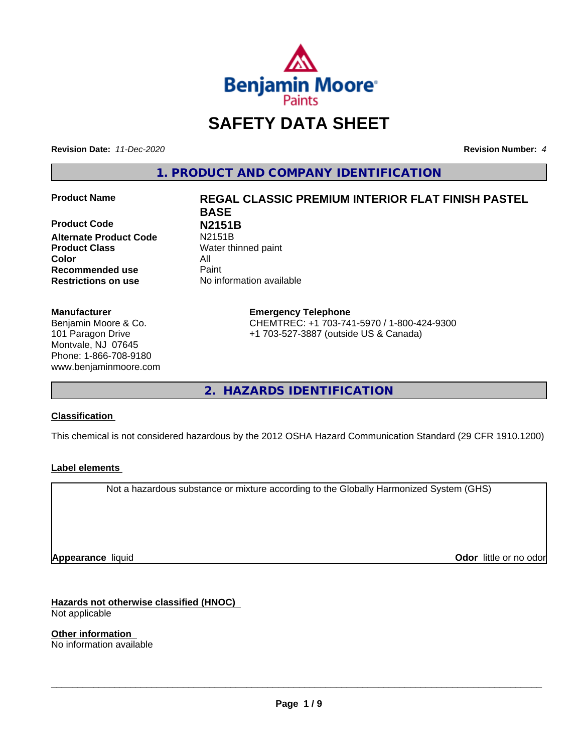

# **SAFETY DATA SHEET**

**Revision Date:** *11-Dec-2020* **Revision Number:** *4*

**1. PRODUCT AND COMPANY IDENTIFICATION**

**Product Code N2151B**<br> **Alternate Product Code N2151B Alternate Product Code Product Class** Water thinned paint **Color** All **Recommended use** Paint **Restrictions on use** No information available

#### **Manufacturer**

Benjamin Moore & Co. 101 Paragon Drive Montvale, NJ 07645 Phone: 1-866-708-9180 www.benjaminmoore.com

# **Product Name REGAL CLASSIC PREMIUM INTERIOR FLAT FINISH PASTEL BASE**

**Emergency Telephone** CHEMTREC: +1 703-741-5970 / 1-800-424-9300 +1 703-527-3887 (outside US & Canada)

**2. HAZARDS IDENTIFICATION**

### **Classification**

This chemical is not considered hazardous by the 2012 OSHA Hazard Communication Standard (29 CFR 1910.1200)

### **Label elements**

Not a hazardous substance or mixture according to the Globally Harmonized System (GHS)

**Appearance** liquid

**Odor** little or no odor

**Hazards not otherwise classified (HNOC)** Not applicable

**Other information** No information available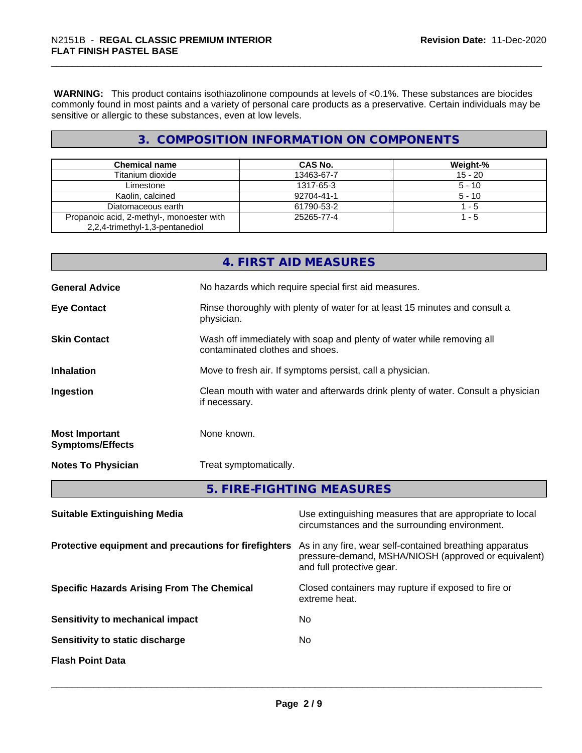**WARNING:** This product contains isothiazolinone compounds at levels of <0.1%. These substances are biocides commonly found in most paints and a variety of personal care products as a preservative. Certain individuals may be sensitive or allergic to these substances, even at low levels.

# **3. COMPOSITION INFORMATION ON COMPONENTS**

| <b>Chemical name</b>                      | CAS No.    | Weight-%  |
|-------------------------------------------|------------|-----------|
| Titanium dioxide                          | 13463-67-7 | $15 - 20$ |
| Limestone                                 | 1317-65-3  | $5 - 10$  |
| Kaolin, calcined                          | 92704-41-1 | $5 - 10$  |
| Diatomaceous earth                        | 61790-53-2 | - 5       |
| Propanoic acid, 2-methyl-, monoester with | 25265-77-4 | - 5       |
| 2,2,4-trimethyl-1,3-pentanediol           |            |           |

|                                                  | 4. FIRST AID MEASURES                                                                                         |  |  |
|--------------------------------------------------|---------------------------------------------------------------------------------------------------------------|--|--|
| <b>General Advice</b>                            | No hazards which require special first aid measures.                                                          |  |  |
| <b>Eye Contact</b>                               | Rinse thoroughly with plenty of water for at least 15 minutes and consult a<br>physician.                     |  |  |
| <b>Skin Contact</b>                              | Wash off immediately with soap and plenty of water while removing all<br>contaminated clothes and shoes.      |  |  |
| <b>Inhalation</b>                                | Move to fresh air. If symptoms persist, call a physician.                                                     |  |  |
| Ingestion                                        | Clean mouth with water and afterwards drink plenty of water. Consult a physician<br>if necessary.             |  |  |
| <b>Most Important</b><br><b>Symptoms/Effects</b> | None known.                                                                                                   |  |  |
| <b>Notes To Physician</b>                        | Treat symptomatically.                                                                                        |  |  |
|                                                  | 5. FIRE-FIGHTING MEASURES                                                                                     |  |  |
| <b>Suitable Extinguishing Media</b>              | Use extinguishing measures that are appropriate to local<br>circumstances and the surrounding environment.    |  |  |
|                                                  | Protective equipment and precautions for firefighters As in any fire, wear self-contained breathing apparatus |  |  |

pressure-demand, MSHA/NIOSH (approved or equivalent) and full protective gear.

extreme heat.

 $\overline{\phantom{a}}$  ,  $\overline{\phantom{a}}$  ,  $\overline{\phantom{a}}$  ,  $\overline{\phantom{a}}$  ,  $\overline{\phantom{a}}$  ,  $\overline{\phantom{a}}$  ,  $\overline{\phantom{a}}$  ,  $\overline{\phantom{a}}$  ,  $\overline{\phantom{a}}$  ,  $\overline{\phantom{a}}$  ,  $\overline{\phantom{a}}$  ,  $\overline{\phantom{a}}$  ,  $\overline{\phantom{a}}$  ,  $\overline{\phantom{a}}$  ,  $\overline{\phantom{a}}$  ,  $\overline{\phantom{a}}$ 

**Specific Hazards Arising From The Chemical Closed containers may rupture if exposed to fire or** 

**Sensitivity to mechanical impact** No

**Sensitivity to static discharge** No

**Flash Point Data**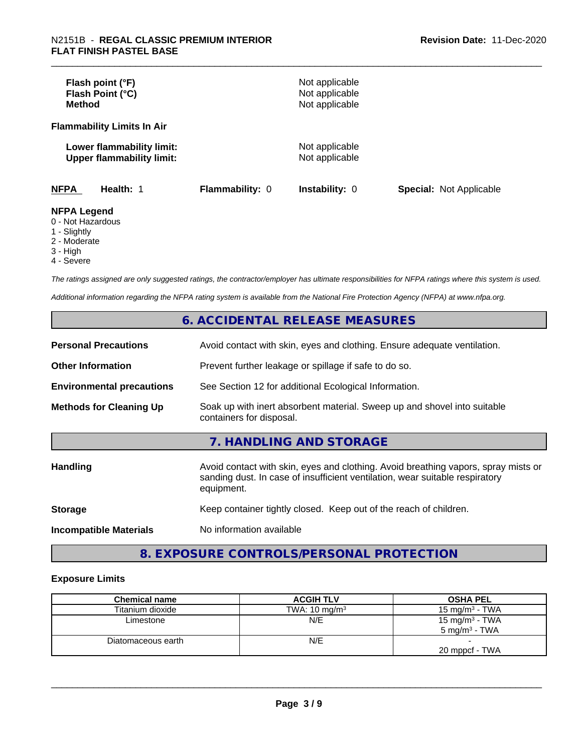| Flash point (°F)<br>Flash Point (°C)<br><b>Method</b>         |                        | Not applicable<br>Not applicable<br>Not applicable |                                |
|---------------------------------------------------------------|------------------------|----------------------------------------------------|--------------------------------|
| <b>Flammability Limits In Air</b>                             |                        |                                                    |                                |
| Lower flammability limit:<br><b>Upper flammability limit:</b> |                        | Not applicable<br>Not applicable                   |                                |
| <b>NFPA</b><br>Health: 1                                      | <b>Flammability: 0</b> | <b>Instability: 0</b>                              | <b>Special: Not Applicable</b> |
| <b>NFPA Legend</b><br>0 - Not Hazardous<br>4 Cliabthi         |                        |                                                    |                                |

1 - Slightly

2 - Moderate

3 - High

4 - Severe

*The ratings assigned are only suggested ratings, the contractor/employer has ultimate responsibilities for NFPA ratings where this system is used.*

*Additional information regarding the NFPA rating system is available from the National Fire Protection Agency (NFPA) at www.nfpa.org.*

# **6. ACCIDENTAL RELEASE MEASURES**

| <b>Personal Precautions</b>      | Avoid contact with skin, eyes and clothing. Ensure adequate ventilation.                                                                                                         |
|----------------------------------|----------------------------------------------------------------------------------------------------------------------------------------------------------------------------------|
| <b>Other Information</b>         | Prevent further leakage or spillage if safe to do so.                                                                                                                            |
| <b>Environmental precautions</b> | See Section 12 for additional Ecological Information.                                                                                                                            |
| <b>Methods for Cleaning Up</b>   | Soak up with inert absorbent material. Sweep up and shovel into suitable<br>containers for disposal.                                                                             |
|                                  | 7. HANDLING AND STORAGE                                                                                                                                                          |
| <b>Handling</b>                  | Avoid contact with skin, eyes and clothing. Avoid breathing vapors, spray mists or<br>sanding dust. In case of insufficient ventilation, wear suitable respiratory<br>equipment. |
| <b>Storage</b>                   | Keep container tightly closed. Keep out of the reach of children.                                                                                                                |
| <b>Incompatible Materials</b>    | No information available                                                                                                                                                         |

# **8. EXPOSURE CONTROLS/PERSONAL PROTECTION**

#### **Exposure Limits**

| <b>Chemical name</b> | <b>ACGIH TLV</b>         | <b>OSHA PEL</b>          |
|----------------------|--------------------------|--------------------------|
| Titanium dioxide     | TWA: $10 \text{ mg/m}^3$ | 15 mg/m $3$ - TWA        |
| Limestone            | N/E                      | 15 mg/m $3$ - TWA        |
|                      |                          | $5 \text{ ma/m}^3$ - TWA |
| Diatomaceous earth   | N/E                      |                          |
|                      |                          | 20 mppcf - TWA           |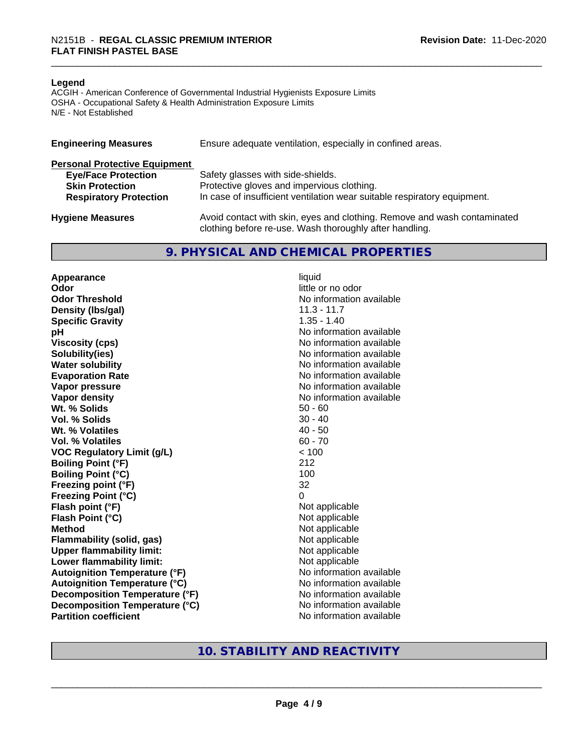#### **Legend**

ACGIH - American Conference of Governmental Industrial Hygienists Exposure Limits OSHA - Occupational Safety & Health Administration Exposure Limits N/E - Not Established

| <b>Engineering Measures</b>          | Ensure adequate ventilation, especially in confined areas.                                                                          |
|--------------------------------------|-------------------------------------------------------------------------------------------------------------------------------------|
| <b>Personal Protective Equipment</b> |                                                                                                                                     |
| <b>Eye/Face Protection</b>           | Safety glasses with side-shields.                                                                                                   |
| <b>Skin Protection</b>               | Protective gloves and impervious clothing.                                                                                          |
| <b>Respiratory Protection</b>        | In case of insufficient ventilation wear suitable respiratory equipment.                                                            |
| <b>Hygiene Measures</b>              | Avoid contact with skin, eyes and clothing. Remove and wash contaminated<br>clothing before re-use. Wash thoroughly after handling. |

#### **9. PHYSICAL AND CHEMICAL PROPERTIES**

**Appearance** liquid **Odor** little or no odor **Odor Threshold No information available No information available Density (lbs/gal)** 11.3 - 11.7 **Specific Gravity** 1.35 - 1.40 **pH pH**  $\blacksquare$ **Viscosity (cps)** No information available **Solubility(ies)** No information available **Water solubility** No information available **Evaporation Rate No information available No information available Vapor pressure** No information available **No information available Vapor density**<br> **We Solids**<br>
We Solid Wit, % Solids
and Minimized Contract Contract Contract Contract Contract Contract Contract Contract Contract Contract Contract Contract Contract Contract Contract Contract Contract Co **Wt. % Solids Vol. % Solids** 30 - 40 **Wt.** % Volatiles 40 - 50 **Vol. % Volatiles** 60 - 70 **VOC Regulatory Limit (g/L)** < 100 **Boiling Point (°F)** 212 **Boiling Point (°C)** 100 **Freezing point (°F)** 32 **Freezing Point (°C)** 0 **Flash point (°F)**<br> **Flash Point (°C)**<br> **Flash Point (°C)**<br> **C Flash Point (°C) Method** Not applicable<br> **Flammability (solid, gas)** Not applicable Not applicable **Flammability (solid, gas)**<br> **Upper flammability limit:** Not applicable Not applicable **Upper flammability limit:**<br> **Lower flammability limit:** Not applicable Not applicable **Lower flammability limit: Autoignition Temperature (°F)** No information available **Autoignition Temperature (°C)** No information available **Decomposition Temperature (°F)** No information available **Decomposition Temperature (°C)** No information available **Partition coefficient** No information available

# **10. STABILITY AND REACTIVITY**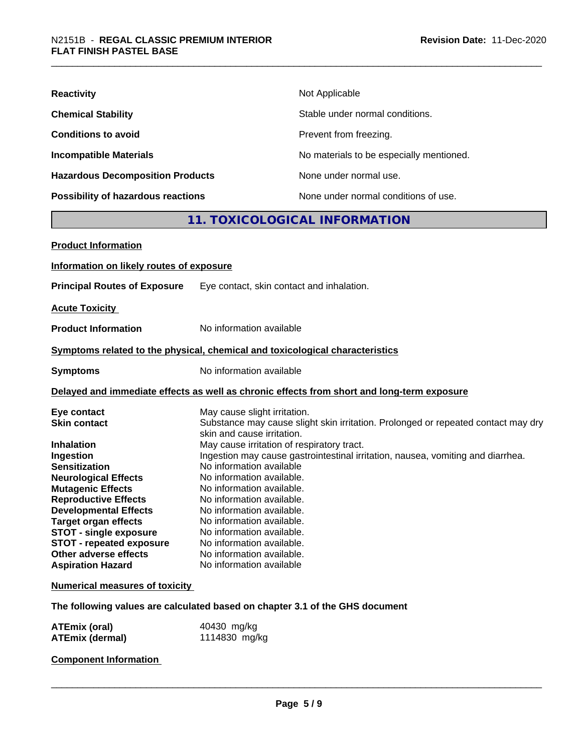| <b>Reactivity</b>                         | Not Applicable                           |
|-------------------------------------------|------------------------------------------|
| <b>Chemical Stability</b>                 | Stable under normal conditions.          |
| <b>Conditions to avoid</b>                | Prevent from freezing.                   |
| <b>Incompatible Materials</b>             | No materials to be especially mentioned. |
| <b>Hazardous Decomposition Products</b>   | None under normal use.                   |
| <b>Possibility of hazardous reactions</b> | None under normal conditions of use.     |

# **11. TOXICOLOGICAL INFORMATION**

| <b>Product Information</b>                                                                                                                                                                                                                                                                                                                                                     |                                                                                                                                                                                                                                                                                                                                                                                                                                                                                                                                                                                  |
|--------------------------------------------------------------------------------------------------------------------------------------------------------------------------------------------------------------------------------------------------------------------------------------------------------------------------------------------------------------------------------|----------------------------------------------------------------------------------------------------------------------------------------------------------------------------------------------------------------------------------------------------------------------------------------------------------------------------------------------------------------------------------------------------------------------------------------------------------------------------------------------------------------------------------------------------------------------------------|
| Information on likely routes of exposure                                                                                                                                                                                                                                                                                                                                       |                                                                                                                                                                                                                                                                                                                                                                                                                                                                                                                                                                                  |
| <b>Principal Routes of Exposure</b>                                                                                                                                                                                                                                                                                                                                            | Eye contact, skin contact and inhalation.                                                                                                                                                                                                                                                                                                                                                                                                                                                                                                                                        |
| <b>Acute Toxicity</b>                                                                                                                                                                                                                                                                                                                                                          |                                                                                                                                                                                                                                                                                                                                                                                                                                                                                                                                                                                  |
| <b>Product Information</b>                                                                                                                                                                                                                                                                                                                                                     | No information available                                                                                                                                                                                                                                                                                                                                                                                                                                                                                                                                                         |
|                                                                                                                                                                                                                                                                                                                                                                                | Symptoms related to the physical, chemical and toxicological characteristics                                                                                                                                                                                                                                                                                                                                                                                                                                                                                                     |
| <b>Symptoms</b>                                                                                                                                                                                                                                                                                                                                                                | No information available                                                                                                                                                                                                                                                                                                                                                                                                                                                                                                                                                         |
|                                                                                                                                                                                                                                                                                                                                                                                | Delayed and immediate effects as well as chronic effects from short and long-term exposure                                                                                                                                                                                                                                                                                                                                                                                                                                                                                       |
| Eye contact<br><b>Skin contact</b><br><b>Inhalation</b><br>Ingestion<br><b>Sensitization</b><br><b>Neurological Effects</b><br><b>Mutagenic Effects</b><br><b>Reproductive Effects</b><br><b>Developmental Effects</b><br><b>Target organ effects</b><br><b>STOT - single exposure</b><br><b>STOT - repeated exposure</b><br>Other adverse effects<br><b>Aspiration Hazard</b> | May cause slight irritation.<br>Substance may cause slight skin irritation. Prolonged or repeated contact may dry<br>skin and cause irritation.<br>May cause irritation of respiratory tract.<br>Ingestion may cause gastrointestinal irritation, nausea, vomiting and diarrhea.<br>No information available<br>No information available.<br>No information available.<br>No information available.<br>No information available.<br>No information available.<br>No information available.<br>No information available.<br>No information available.<br>No information available |
| <b>Numerical measures of toxicity</b>                                                                                                                                                                                                                                                                                                                                          |                                                                                                                                                                                                                                                                                                                                                                                                                                                                                                                                                                                  |
|                                                                                                                                                                                                                                                                                                                                                                                | The following values are calculated based on chapter 3.1 of the GHS document                                                                                                                                                                                                                                                                                                                                                                                                                                                                                                     |
| ATEmix (oral)                                                                                                                                                                                                                                                                                                                                                                  | 40430 mg/kg                                                                                                                                                                                                                                                                                                                                                                                                                                                                                                                                                                      |

| A I Emix (oral)        | 40430 mg/kg   |
|------------------------|---------------|
| <b>ATEmix (dermal)</b> | 1114830 mg/kg |

# **Component Information**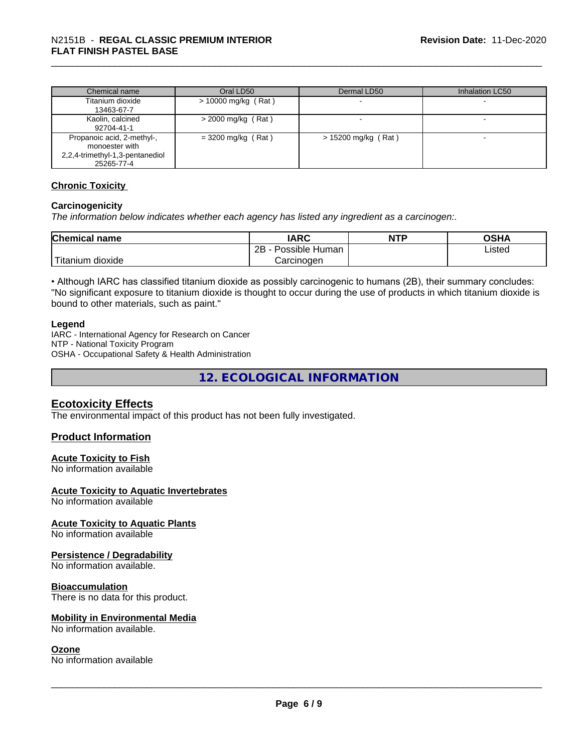| Chemical name                   | Oral LD50            | Dermal LD50           | Inhalation LC50 |
|---------------------------------|----------------------|-----------------------|-----------------|
| Titanium dioxide                | > 10000 mg/kg (Rat)  |                       |                 |
| 13463-67-7                      |                      |                       |                 |
| Kaolin, calcined                | $>$ 2000 mg/kg (Rat) |                       |                 |
| 92704-41-1                      |                      |                       |                 |
| Propanoic acid, 2-methyl-,      | $=$ 3200 mg/kg (Rat) | $> 15200$ mg/kg (Rat) |                 |
| monoester with                  |                      |                       |                 |
| 2,2,4-trimethyl-1,3-pentanediol |                      |                       |                 |
| 25265-77-4                      |                      |                       |                 |

#### **Chronic Toxicity**

#### **Carcinogenicity**

*The information below indicateswhether each agency has listed any ingredient as a carcinogen:.*

| <b>Chemical name</b>  | <b>IARC</b>                            | <b>NTP</b> | ດເ⊔∧<br>UJNA |
|-----------------------|----------------------------------------|------------|--------------|
|                       | . .<br>םר<br>Possible<br>⊧ Human<br>∠∟ |            | Listed       |
| dioxide ו<br>Fitanium | Carcinogen                             |            |              |

• Although IARC has classified titanium dioxide as possibly carcinogenic to humans (2B), their summary concludes: "No significant exposure to titanium dioxide is thought to occur during the use of products in which titanium dioxide is bound to other materials, such as paint."

#### **Legend**

IARC - International Agency for Research on Cancer NTP - National Toxicity Program OSHA - Occupational Safety & Health Administration

**12. ECOLOGICAL INFORMATION**

# **Ecotoxicity Effects**

The environmental impact of this product has not been fully investigated.

#### **Product Information**

#### **Acute Toxicity to Fish**

No information available

#### **Acute Toxicity to Aquatic Invertebrates**

No information available

#### **Acute Toxicity to Aquatic Plants**

No information available

#### **Persistence / Degradability**

No information available.

#### **Bioaccumulation**

There is no data for this product.

#### **Mobility in Environmental Media**

No information available.

### **Ozone**

No information available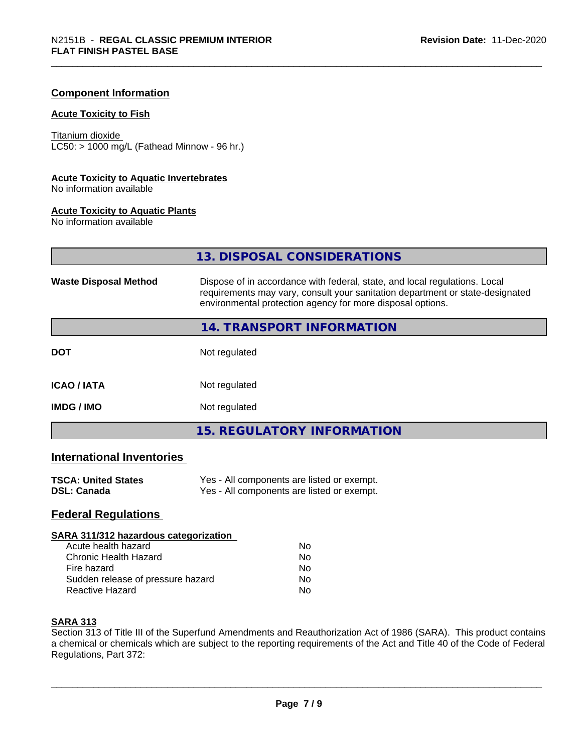#### **Component Information**

#### **Acute Toxicity to Fish**

Titanium dioxide  $LC50:$  > 1000 mg/L (Fathead Minnow - 96 hr.)

#### **Acute Toxicity to Aquatic Invertebrates**

No information available

#### **Acute Toxicity to Aquatic Plants**

No information available

|                              | 13. DISPOSAL CONSIDERATIONS                                                                                                                                                                                               |
|------------------------------|---------------------------------------------------------------------------------------------------------------------------------------------------------------------------------------------------------------------------|
| <b>Waste Disposal Method</b> | Dispose of in accordance with federal, state, and local regulations. Local<br>requirements may vary, consult your sanitation department or state-designated<br>environmental protection agency for more disposal options. |
|                              | 14. TRANSPORT INFORMATION                                                                                                                                                                                                 |
| <b>DOT</b>                   | Not regulated                                                                                                                                                                                                             |
| <b>ICAO / IATA</b>           | Not regulated                                                                                                                                                                                                             |
| <b>IMDG/IMO</b>              | Not regulated                                                                                                                                                                                                             |
|                              | <b>15. REGULATORY INFORMATION</b>                                                                                                                                                                                         |

# **International Inventories**

| <b>TSCA: United States</b> | Yes - All components are listed or exempt. |
|----------------------------|--------------------------------------------|
| <b>DSL: Canada</b>         | Yes - All components are listed or exempt. |

# **Federal Regulations**

#### **SARA 311/312 hazardous categorization**

| Acute health hazard               | Nο |
|-----------------------------------|----|
| <b>Chronic Health Hazard</b>      | Nο |
| Fire hazard                       | N٥ |
| Sudden release of pressure hazard | N٥ |
| Reactive Hazard                   | N٥ |

### **SARA 313**

Section 313 of Title III of the Superfund Amendments and Reauthorization Act of 1986 (SARA). This product contains a chemical or chemicals which are subject to the reporting requirements of the Act and Title 40 of the Code of Federal Regulations, Part 372: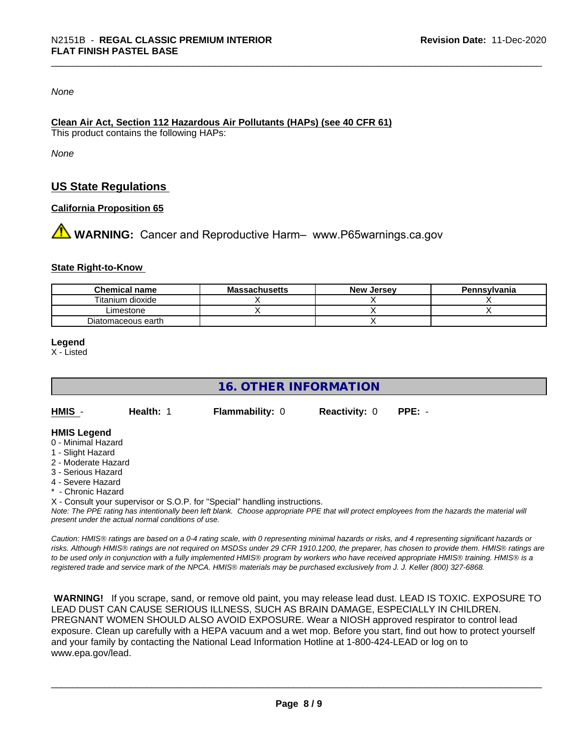#### *None*

#### **Clean Air Act,Section 112 Hazardous Air Pollutants (HAPs) (see 40 CFR 61)**

This product contains the following HAPs:

*None*

# **US State Regulations**

#### **California Proposition 65**

**AN** WARNING: Cancer and Reproductive Harm– www.P65warnings.ca.gov

#### **State Right-to-Know**

| <b>Chemical name</b> | <b>Massachusetts</b> | <b>New Jersey</b> | Pennsylvania |
|----------------------|----------------------|-------------------|--------------|
| Titanium dioxide     |                      |                   |              |
| _imestone            |                      |                   |              |
| Diatomaceous earth   |                      |                   |              |

#### **Legend**

X - Listed

# **16. OTHER INFORMATION**

| HMIS | Health: 1 | <b>Flammability: 0</b> | <b>Reactivity: 0 PPE: -</b> |  |
|------|-----------|------------------------|-----------------------------|--|
|      |           |                        |                             |  |

#### **HMIS Legend**

- 0 Minimal Hazard
- 1 Slight Hazard
- 2 Moderate Hazard
- 3 Serious Hazard
- 4 Severe Hazard
- **Chronic Hazard**

X - Consult your supervisor or S.O.P. for "Special" handling instructions.

*Note: The PPE rating has intentionally been left blank. Choose appropriate PPE that will protect employees from the hazards the material will present under the actual normal conditions of use.*

*Caution: HMISÒ ratings are based on a 0-4 rating scale, with 0 representing minimal hazards or risks, and 4 representing significant hazards or risks. Although HMISÒ ratings are not required on MSDSs under 29 CFR 1910.1200, the preparer, has chosen to provide them. HMISÒ ratings are to be used only in conjunction with a fully implemented HMISÒ program by workers who have received appropriate HMISÒ training. HMISÒ is a registered trade and service mark of the NPCA. HMISÒ materials may be purchased exclusively from J. J. Keller (800) 327-6868.*

 **WARNING!** If you scrape, sand, or remove old paint, you may release lead dust. LEAD IS TOXIC. EXPOSURE TO LEAD DUST CAN CAUSE SERIOUS ILLNESS, SUCH AS BRAIN DAMAGE, ESPECIALLY IN CHILDREN. PREGNANT WOMEN SHOULD ALSO AVOID EXPOSURE.Wear a NIOSH approved respirator to control lead exposure. Clean up carefully with a HEPA vacuum and a wet mop. Before you start, find out how to protect yourself and your family by contacting the National Lead Information Hotline at 1-800-424-LEAD or log on to www.epa.gov/lead.